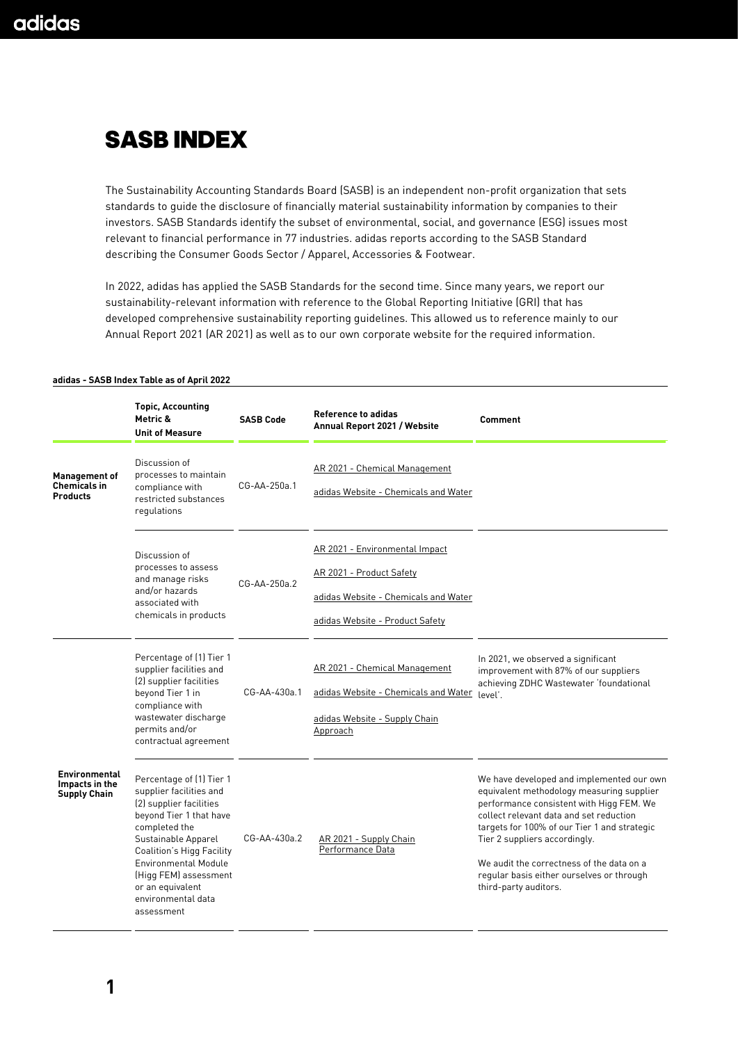## **SASB INDEX**

The Sustainability Accounting Standards Board (SASB) is an independent non-profit organization that sets standards to guide the disclosure of financially material sustainability information by companies to their investors. SASB Standards identify the subset of environmental, social, and governance (ESG) issues most relevant to financial performance in 77 industries. adidas reports according to the SASB Standard describing the Consumer Goods Sector / Apparel, Accessories & Footwear.

In 2022, adidas has applied the SASB Standards for the second time. Since many years, we report our sustainability-relevant information with reference to the Global Reporting Initiative (GRI) that has developed comprehensive sustainability reporting guidelines. This allowed us to reference mainly to our Annual Report 2021 (AR 2021) as well as to our own corporate website for the required information.

|                                                                | <b>Topic, Accounting</b><br>Metric &<br><b>Unit of Measure</b>                                                                                                                                                                                                                                        | <b>SASB Code</b> | <b>Reference to adidas</b><br>Annual Report 2021 / Website                                                                            | Comment                                                                                                                                                                                                                                                                                                                                                                           |
|----------------------------------------------------------------|-------------------------------------------------------------------------------------------------------------------------------------------------------------------------------------------------------------------------------------------------------------------------------------------------------|------------------|---------------------------------------------------------------------------------------------------------------------------------------|-----------------------------------------------------------------------------------------------------------------------------------------------------------------------------------------------------------------------------------------------------------------------------------------------------------------------------------------------------------------------------------|
| <b>Management of</b><br><b>Chemicals in</b><br><b>Products</b> | Discussion of<br>processes to maintain<br>compliance with<br>restricted substances<br>regulations                                                                                                                                                                                                     | CG-AA-250a.1     | AR 2021 - Chemical Management<br>adidas Website - Chemicals and Water                                                                 |                                                                                                                                                                                                                                                                                                                                                                                   |
|                                                                | Discussion of<br>processes to assess<br>and manage risks<br>and/or hazards<br>associated with<br>chemicals in products                                                                                                                                                                                | $CG-AA-250a.2$   | AR 2021 - Environmental Impact<br>AR 2021 - Product Safety<br>adidas Website - Chemicals and Water<br>adidas Website - Product Safety |                                                                                                                                                                                                                                                                                                                                                                                   |
|                                                                | Percentage of (1) Tier 1<br>supplier facilities and<br>(2) supplier facilities<br>beyond Tier 1 in<br>compliance with<br>wastewater discharge<br>permits and/or<br>contractual agreement                                                                                                              | CG-AA-430a.1     | AR 2021 - Chemical Management<br>adidas Website - Chemicals and Water<br>adidas Website - Supply Chain<br>Approach                    | In 2021, we observed a significant<br>improvement with 87% of our suppliers<br>achieving ZDHC Wastewater 'foundational<br>level'.                                                                                                                                                                                                                                                 |
| <b>Environmental</b><br>Impacts in the<br><b>Supply Chain</b>  | Percentage of (1) Tier 1<br>supplier facilities and<br>(2) supplier facilities<br>beyond Tier 1 that have<br>completed the<br>Sustainable Apparel<br><b>Coalition's Higg Facility</b><br><b>Environmental Module</b><br>(Higg FEM) assessment<br>or an equivalent<br>environmental data<br>assessment | CG-AA-430a.2     | AR 2021 - Supply Chain<br>Performance Data                                                                                            | We have developed and implemented our own<br>equivalent methodology measuring supplier<br>performance consistent with Higg FEM. We<br>collect relevant data and set reduction<br>targets for 100% of our Tier 1 and strategic<br>Tier 2 suppliers accordingly.<br>We audit the correctness of the data on a<br>regular basis either ourselves or through<br>third-party auditors. |

## **adidas - SASB Index Table as of April 2022**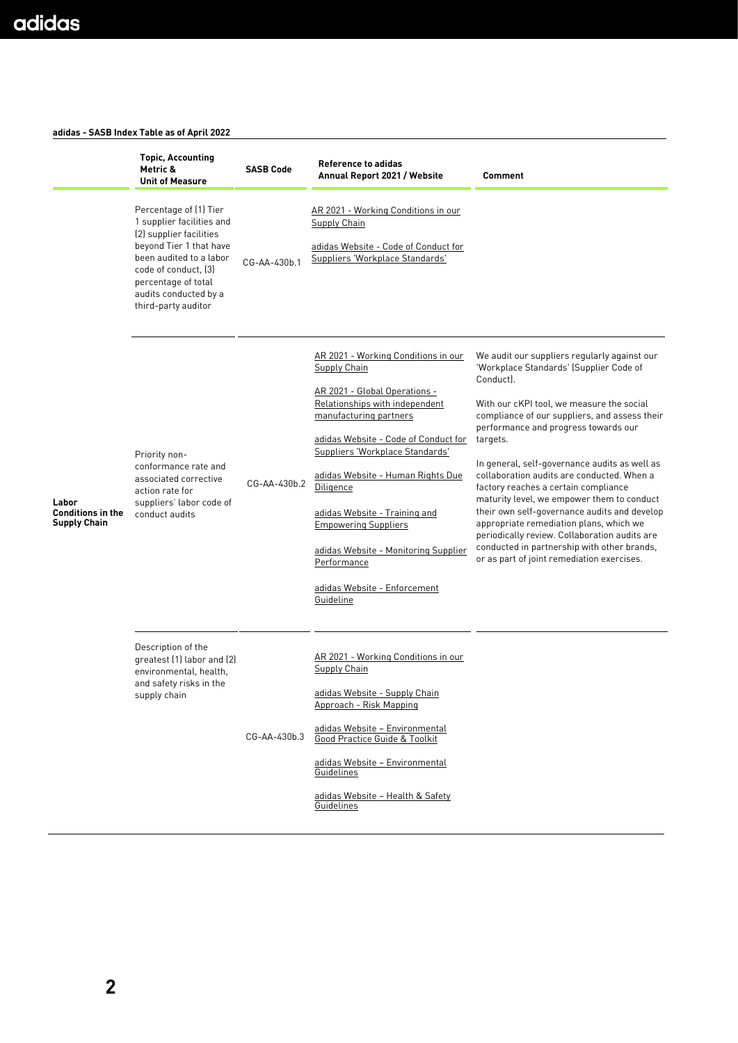## **adidas - SASB Index Table as of April 2022**

|                                                          | <b>Topic, Accounting</b><br>Metric &<br><b>Unit of Measure</b>                                                                                                                                                                      | <b>SASB Code</b> | <b>Reference to adidas</b><br>Annual Report 2021 / Website                                                                                                                                                                                                                                                                                                                                                                                               | Comment                                                                                                                                                                                                                                                                                                                                                                                                                                                                                                                                                                                                                                                                              |
|----------------------------------------------------------|-------------------------------------------------------------------------------------------------------------------------------------------------------------------------------------------------------------------------------------|------------------|----------------------------------------------------------------------------------------------------------------------------------------------------------------------------------------------------------------------------------------------------------------------------------------------------------------------------------------------------------------------------------------------------------------------------------------------------------|--------------------------------------------------------------------------------------------------------------------------------------------------------------------------------------------------------------------------------------------------------------------------------------------------------------------------------------------------------------------------------------------------------------------------------------------------------------------------------------------------------------------------------------------------------------------------------------------------------------------------------------------------------------------------------------|
| Labor<br><b>Conditions in the</b><br><b>Supply Chain</b> | Percentage of (1) Tier<br>1 supplier facilities and<br>(2) supplier facilities<br>beyond Tier 1 that have<br>been audited to a labor<br>code of conduct. [3]<br>percentage of total<br>audits conducted by a<br>third-party auditor | CG-AA-430b.1     | AR 2021 - Working Conditions in our<br>Supply Chain<br>adidas Website - Code of Conduct for<br>Suppliers 'Workplace Standards'                                                                                                                                                                                                                                                                                                                           |                                                                                                                                                                                                                                                                                                                                                                                                                                                                                                                                                                                                                                                                                      |
|                                                          | Priority non-<br>conformance rate and<br>associated corrective<br>action rate for<br>suppliers' labor code of<br>conduct audits                                                                                                     | CG-AA-430b.2     | AR 2021 - Working Conditions in our<br><b>Supply Chain</b><br>AR 2021 - Global Operations -<br>Relationships with independent<br>manufacturing partners<br>adidas Website - Code of Conduct for<br>Suppliers 'Workplace Standards'<br>adidas Website - Human Rights Due<br>Diligence<br>adidas Website - Training and<br><b>Empowering Suppliers</b><br>adidas Website - Monitoring Supplier<br>Performance<br>adidas Website - Enforcement<br>Guideline | We audit our suppliers regularly against our<br>'Workplace Standards' (Supplier Code of<br>Conduct).<br>With our cKPI tool, we measure the social<br>compliance of our suppliers, and assess their<br>performance and progress towards our<br>targets.<br>In general, self-governance audits as well as<br>collaboration audits are conducted. When a<br>factory reaches a certain compliance<br>maturity level, we empower them to conduct<br>their own self-governance audits and develop<br>appropriate remediation plans, which we<br>periodically review. Collaboration audits are<br>conducted in partnership with other brands,<br>or as part of joint remediation exercises. |
|                                                          | Description of the<br>greatest (1) labor and (2)<br>environmental, health,<br>and safety risks in the<br>supply chain                                                                                                               | CG-AA-430b.3     | AR 2021 - Working Conditions in our<br><b>Supply Chain</b><br>adidas Website - Supply Chain<br>Approach - Risk Mapping<br>adidas Website - Environmental<br>Good Practice Guide & Toolkit<br>adidas Website - Environmental<br>Guidelines<br>adidas Website - Health & Safety<br>Guidelines                                                                                                                                                              |                                                                                                                                                                                                                                                                                                                                                                                                                                                                                                                                                                                                                                                                                      |